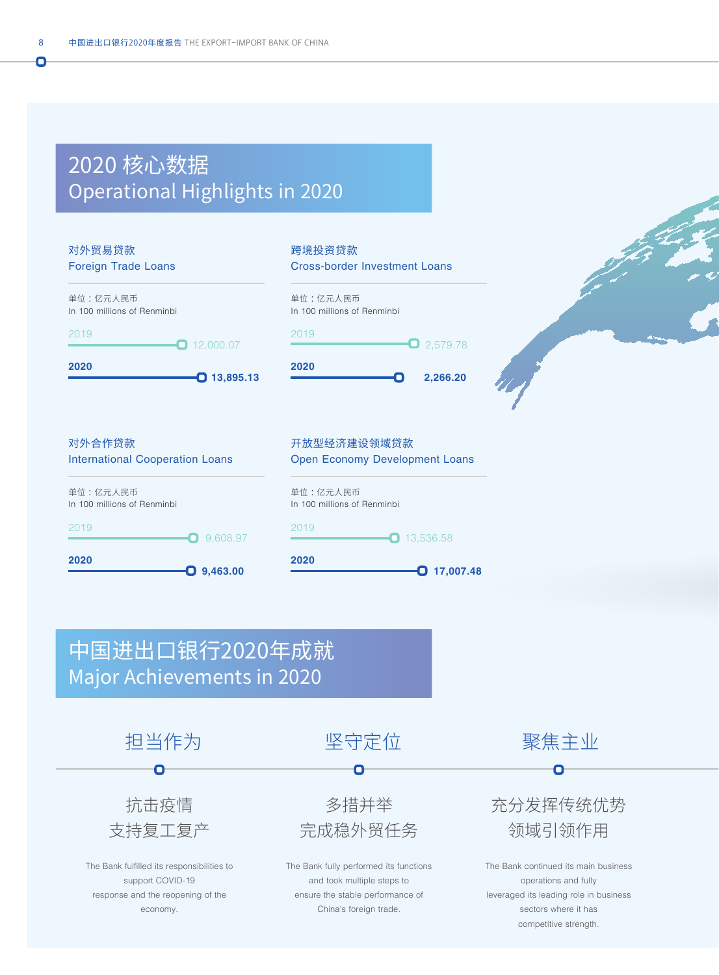## 2020 核心数据 Operational Highlights in 2020



抗击疫情 支持复工复产

The Bank fulfilled its responsibilities to support COVID-19 response and the reopening of the economy.

The Bank fully performed its functions and took multiple steps to ensure the stable performance of China's foreign trade.

多措并举 完成稳外贸任务 充分发挥传统优势 领域引领作用

The Bank continued its main business operations and fully leveraged its leading role in business sectors where it has competitive strength.